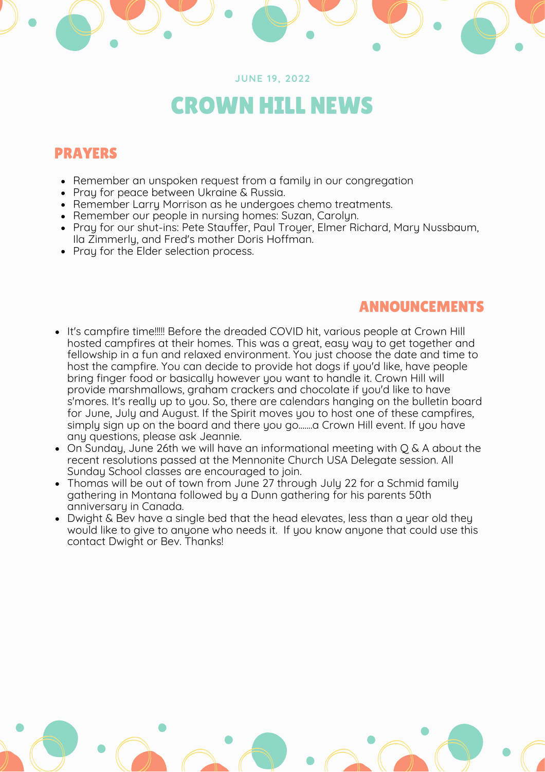#### **JUNE 19, 2022**

# CROWN HILL NEWS

# PRAYERS

- Remember an unspoken request from a family in our congregation
- Pray for peace between Ukraine & Russia.
- Remember Larry Morrison as he undergoes chemo treatments.
- Remember our people in nursing homes: Suzan, Carolyn.
- Pray for our shut-ins: Pete Stauffer, Paul Troyer, Elmer Richard, Mary Nussbaum, Ila Zimmerly, and Fred's mother Doris Hoffman.
- Pray for the Elder selection process.

## ANNOUNCEMENTS

- It's campfire time!!!!! Before the dreaded COVID hit, various people at Crown Hill hosted campfires at their homes. This was a great, easy way to get together and fellowship in a fun and relaxed environment. You just choose the date and time to host the campfire. You can decide to provide hot dogs if you'd like, have people bring finger food or basically however you want to handle it. Crown Hill will provide marshmallows, graham crackers and chocolate if you'd like to have s'mores. It's really up to you. So, there are calendars hanging on the bulletin board for June, July and August. If the Spirit moves you to host one of these campfires, simply sign up on the board and there you go.......a Crown Hill event. If you have any questions, please ask Jeannie.
- On Sunday, June 26th we will have an informational meeting with Q & A about the recent resolutions passed at the Mennonite Church USA Delegate session. All Sunday School classes are encouraged to join.
- Thomas will be out of town from June 27 through July 22 for a Schmid family gathering in Montana followed by a Dunn gathering for his parents 50th anniversary in Canada.
- Dwight & Bev have a single bed that the head elevates, less than a year old they would like to give to anyone who needs it. If you know anyone that could use this contact Dwight or Bev. Thanks!